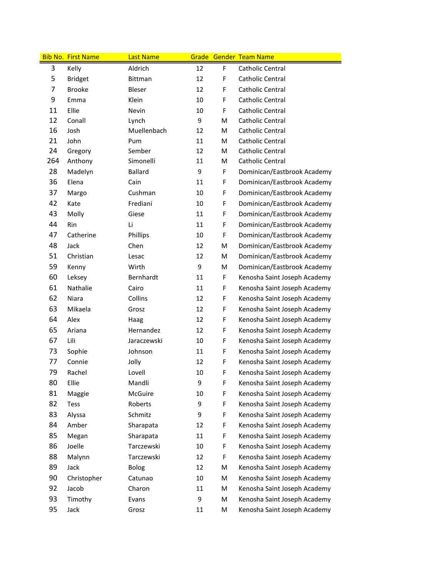|                | <b>Bib No. First Name</b> | <b>Last Name</b> |    |             | <b>Grade Gender Team Name</b> |
|----------------|---------------------------|------------------|----|-------------|-------------------------------|
| 3              | Kelly                     | Aldrich          | 12 | F           | Catholic Central              |
| 5              | <b>Bridget</b>            | Bittman          | 12 | F           | Catholic Central              |
| $\overline{7}$ | <b>Brooke</b>             | Bleser           | 12 | F           | Catholic Central              |
| 9              | Emma                      | Klein            | 10 | F           | Catholic Central              |
| 11             | Ellie                     | Nevin            | 10 | F           | Catholic Central              |
| 12             | Conall                    | Lynch            | 9  | M           | Catholic Central              |
| 16             | Josh                      | Muellenbach      | 12 | M           | Catholic Central              |
| 21             | John                      | Pum              | 11 | M           | Catholic Central              |
| 24             | Gregory                   | Sember           | 12 | M           | Catholic Central              |
| 264            | Anthony                   | Simonelli        | 11 | M           | Catholic Central              |
| 28             | Madelyn                   | <b>Ballard</b>   | 9  | F           | Dominican/Eastbrook Academy   |
| 36             | Elena                     | Cain             | 11 | $\mathsf F$ | Dominican/Eastbrook Academy   |
| 37             | Margo                     | Cushman          | 10 | F           | Dominican/Eastbrook Academy   |
| 42             | Kate                      | Frediani         | 10 | F           | Dominican/Eastbrook Academy   |
| 43             | Molly                     | Giese            | 11 | F           | Dominican/Eastbrook Academy   |
| 44             | Rin                       | Li               | 11 | F           | Dominican/Eastbrook Academy   |
| 47             | Catherine                 | Phillips         | 10 | F           | Dominican/Eastbrook Academy   |
| 48             | Jack                      | Chen             | 12 | M           | Dominican/Eastbrook Academy   |
| 51             | Christian                 | Lesac            | 12 | M           | Dominican/Eastbrook Academy   |
| 59             | Kenny                     | Wirth            | 9  | M           | Dominican/Eastbrook Academy   |
| 60             | Leksey                    | Bernhardt        | 11 | $\mathsf F$ | Kenosha Saint Joseph Academy  |
| 61             | Nathalie                  | Cairo            | 11 | F           | Kenosha Saint Joseph Academy  |
| 62             | Niara                     | Collins          | 12 | F           | Kenosha Saint Joseph Academy  |
| 63             | Mikaela                   | Grosz            | 12 | F           | Kenosha Saint Joseph Academy  |
| 64             | Alex                      | Haag             | 12 | F           | Kenosha Saint Joseph Academy  |
| 65             | Ariana                    | Hernandez        | 12 | F           | Kenosha Saint Joseph Academy  |
| 67             | Lili                      | Jaraczewski      | 10 | F           | Kenosha Saint Joseph Academy  |
| 73             | Sophie                    | Johnson          | 11 | F           | Kenosha Saint Joseph Academy  |
| 77             | Connie                    | Jolly            | 12 | F           | Kenosha Saint Joseph Academy  |
| 79             | Rachel                    | Lovell           | 10 | F           | Kenosha Saint Joseph Academy  |
| 80             | Ellie                     | Mandli           | 9  | $\mathsf F$ | Kenosha Saint Joseph Academy  |
| 81             | Maggie                    | McGuire          | 10 | F           | Kenosha Saint Joseph Academy  |
| 82             | Tess                      | Roberts          | 9  | F           | Kenosha Saint Joseph Academy  |
| 83             | Alyssa                    | Schmitz          | 9  | F           | Kenosha Saint Joseph Academy  |
| 84             | Amber                     | Sharapata        | 12 | F           | Kenosha Saint Joseph Academy  |
| 85             | Megan                     | Sharapata        | 11 | F           | Kenosha Saint Joseph Academy  |
| 86             | Joelle                    | Tarczewski       | 10 | F           | Kenosha Saint Joseph Academy  |
| 88             | Malynn                    | Tarczewski       | 12 | F           | Kenosha Saint Joseph Academy  |
| 89             | Jack                      | Bolog            | 12 | M           | Kenosha Saint Joseph Academy  |
| 90             | Christopher               | Catunao          | 10 | M           | Kenosha Saint Joseph Academy  |
| 92             | Jacob                     | Charon           | 11 | M           | Kenosha Saint Joseph Academy  |
| 93             | Timothy                   | Evans            | 9  | M           | Kenosha Saint Joseph Academy  |
| 95             | Jack                      | Grosz            | 11 | M           | Kenosha Saint Joseph Academy  |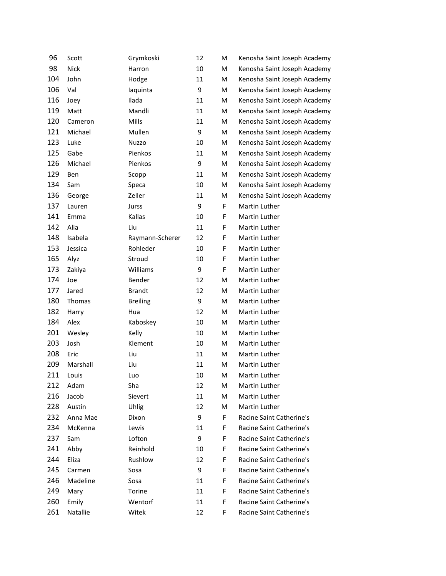| 96  | Scott    | Grymkoski       | 12 | M  | Kenosha Saint Joseph Academy |
|-----|----------|-----------------|----|----|------------------------------|
| 98  | Nick     | Harron          | 10 | M  | Kenosha Saint Joseph Academy |
| 104 | John     | Hodge           | 11 | M  | Kenosha Saint Joseph Academy |
| 106 | Val      | laquinta        | 9  | M  | Kenosha Saint Joseph Academy |
| 116 | Joey     | Ilada           | 11 | M  | Kenosha Saint Joseph Academy |
| 119 | Matt     | Mandli          | 11 | M  | Kenosha Saint Joseph Academy |
| 120 | Cameron  | Mills           | 11 | M  | Kenosha Saint Joseph Academy |
| 121 | Michael  | Mullen          | 9  | M  | Kenosha Saint Joseph Academy |
| 123 | Luke     | <b>Nuzzo</b>    | 10 | M  | Kenosha Saint Joseph Academy |
| 125 | Gabe     | Pienkos         | 11 | M  | Kenosha Saint Joseph Academy |
| 126 | Michael  | Pienkos         | 9  | M  | Kenosha Saint Joseph Academy |
| 129 | Ben      | Scopp           | 11 | M  | Kenosha Saint Joseph Academy |
| 134 | Sam      | Speca           | 10 | M  | Kenosha Saint Joseph Academy |
| 136 | George   | Zeller          | 11 | M  | Kenosha Saint Joseph Academy |
| 137 | Lauren   | Jurss           | 9  | F. | Martin Luther                |
| 141 | Emma     | Kallas          | 10 | F  | Martin Luther                |
| 142 | Alia     | Liu             | 11 | F  | Martin Luther                |
| 148 | Isabela  | Raymann-Scherer | 12 | F  | Martin Luther                |
| 153 | Jessica  | Rohleder        | 10 | F  | Martin Luther                |
| 165 | Alyz     | Stroud          | 10 | F  | Martin Luther                |
| 173 | Zakiya   | Williams        | 9  | F  | Martin Luther                |
| 174 | Joe      | Bender          | 12 | M  | Martin Luther                |
| 177 | Jared    | <b>Brandt</b>   | 12 | M  | Martin Luther                |
| 180 | Thomas   | <b>Breiling</b> | 9  | M  | Martin Luther                |
| 182 | Harry    | Hua             | 12 | M  | Martin Luther                |
| 184 | Alex     | Kaboskey        | 10 | M  | Martin Luther                |
| 201 | Wesley   | Kelly           | 10 | M  | Martin Luther                |
| 203 | Josh     | Klement         | 10 | M  | Martin Luther                |
| 208 | Eric     | Liu             | 11 | M  | Martin Luther                |
| 209 | Marshall | Liu             | 11 | M  | Martin Luther                |
| 211 | Louis    | Luo             | 10 | M  | Martin Luther                |
| 212 | Adam     | Sha             | 12 | M  | Martin Luther                |
| 216 | Jacob    | Sievert         | 11 | M  | Martin Luther                |
| 228 | Austin   | Uhlig           | 12 | M  | Martin Luther                |
| 232 | Anna Mae | Dixon           | 9  | F. | Racine Saint Catherine's     |
| 234 | McKenna  | Lewis           | 11 | F. | Racine Saint Catherine's     |
| 237 | Sam      | Lofton          | 9  | F. | Racine Saint Catherine's     |
| 241 | Abby     | Reinhold        | 10 | F. | Racine Saint Catherine's     |
| 244 | Eliza    | Rushlow         | 12 | F. | Racine Saint Catherine's     |
| 245 | Carmen   | Sosa            | 9  | F. | Racine Saint Catherine's     |
| 246 | Madeline | Sosa            | 11 | F. | Racine Saint Catherine's     |
| 249 | Mary     | Torine          | 11 | F. | Racine Saint Catherine's     |
| 260 | Emily    | Wentorf         | 11 | F. | Racine Saint Catherine's     |
| 261 | Natallie | Witek           | 12 | F  | Racine Saint Catherine's     |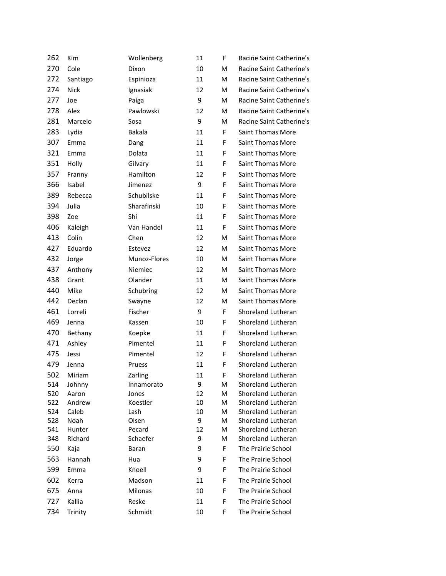| 262        | Kim           | Wollenberg    | 11      | F      | Racine Saint Catherine's                 |
|------------|---------------|---------------|---------|--------|------------------------------------------|
| 270        | Cole          | Dixon         | 10      | м      | Racine Saint Catherine's                 |
| 272        | Santiago      | Espinioza     | 11      | м      | Racine Saint Catherine's                 |
| 274        | <b>Nick</b>   | Ignasiak      | 12      | м      | Racine Saint Catherine's                 |
| 277        | Joe           | Paiga         | 9       | м      | Racine Saint Catherine's                 |
| 278        | Alex          | Pawlowski     | 12      | м      | Racine Saint Catherine's                 |
| 281        | Marcelo       | Sosa          | 9       | M      | Racine Saint Catherine's                 |
| 283        | Lydia         | Bakala        | 11      | F      | <b>Saint Thomas More</b>                 |
| 307        | Emma          | Dang          | 11      | F      | <b>Saint Thomas More</b>                 |
| 321        | Emma          | Dolata        | 11      | F      | Saint Thomas More                        |
| 351        | Holly         | Gilvary       | 11      | F      | Saint Thomas More                        |
| 357        | Franny        | Hamilton      | 12      | F      | <b>Saint Thomas More</b>                 |
| 366        | Isabel        | Jimenez       | 9       | F      | Saint Thomas More                        |
| 389        | Rebecca       | Schubilske    | 11      | F      | <b>Saint Thomas More</b>                 |
| 394        | Julia         | Sharafinski   | 10      | F      | <b>Saint Thomas More</b>                 |
| 398        | Zoe           | Shi           | 11      | F      | Saint Thomas More                        |
| 406        | Kaleigh       | Van Handel    | 11      | F      | Saint Thomas More                        |
| 413        | Colin         | Chen          | 12      | м      | Saint Thomas More                        |
| 427        | Eduardo       | Estevez       | 12      | M      | Saint Thomas More                        |
| 432        | Jorge         | Munoz-Flores  | 10      | м      | <b>Saint Thomas More</b>                 |
| 437        | Anthony       | Niemiec       | 12      | м      | <b>Saint Thomas More</b>                 |
| 438        | Grant         | Olander       | 11      | м      | Saint Thomas More                        |
| 440        | Mike          | Schubring     | 12      | м      | Saint Thomas More                        |
| 442        | Declan        | Swayne        | 12      | М      | Saint Thomas More                        |
| 461        | Lorreli       | Fischer       | 9       | F      | Shoreland Lutheran                       |
| 469        | Jenna         | Kassen        | 10      | F      | Shoreland Lutheran                       |
| 470        | Bethany       | Koepke        | 11      | F      | Shoreland Lutheran                       |
| 471        | Ashley        | Pimentel      | 11      | F      | Shoreland Lutheran                       |
| 475        | Jessi         | Pimentel      | 12      | F      | Shoreland Lutheran                       |
| 479        | Jenna         | Pruess        | 11      | F      | Shoreland Lutheran                       |
| 502        | Miriam        | Zarling       | 11      | F      | Shoreland Lutheran                       |
| 514        | Johnny        | Innamorato    | 9       | M      | Shoreland Lutheran                       |
| 520        | Aaron         | Jones         | 12      | M      | Shoreland Lutheran                       |
| 522        | Andrew        | Koestler      | 10      | M      | Shoreland Lutheran                       |
| 524<br>528 | Caleb<br>Noah | Lash<br>Olsen | 10<br>9 | M<br>M | Shoreland Lutheran<br>Shoreland Lutheran |
| 541        | Hunter        | Pecard        | 12      | M      | Shoreland Lutheran                       |
| 348        | Richard       | Schaefer      | 9       | M      | Shoreland Lutheran                       |
| 550        | Kaja          | Baran         | 9       | F      | The Prairie School                       |
| 563        | Hannah        | Hua           | 9       | F      | The Prairie School                       |
| 599        | Emma          | Knoell        | 9       | F      | The Prairie School                       |
| 602        | Kerra         | Madson        | 11      | F      | The Prairie School                       |
| 675        | Anna          | Milonas       | 10      | F      | The Prairie School                       |
| 727        | Kallia        | Reske         | 11      | F      | The Prairie School                       |
| 734        | Trinity       | Schmidt       | 10      | F      | The Prairie School                       |
|            |               |               |         |        |                                          |